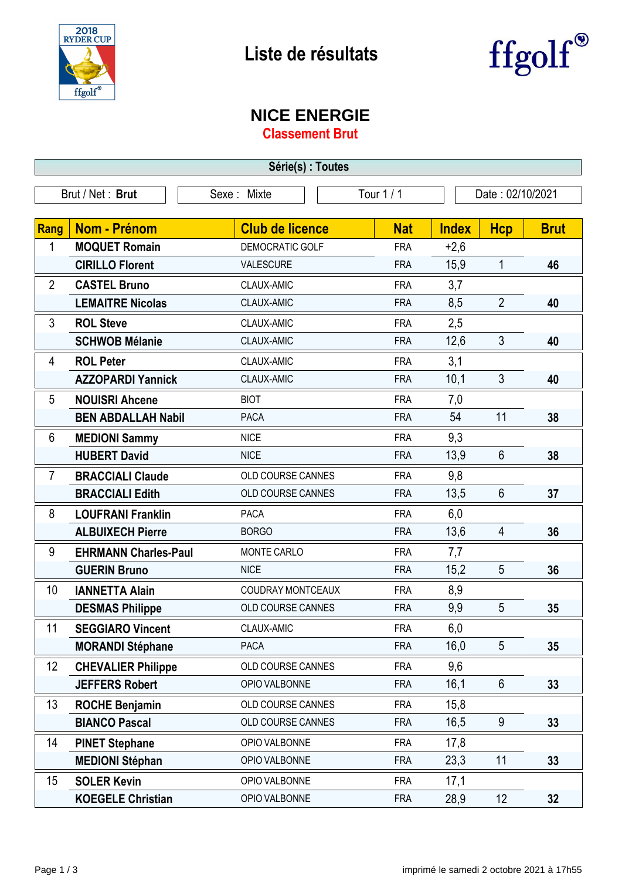



## **NICE ENERGIE**

**Classement Brut**

| Série(s) : Toutes |                             |                          |                                     |              |                |             |
|-------------------|-----------------------------|--------------------------|-------------------------------------|--------------|----------------|-------------|
| Brut / Net: Brut  |                             | Sexe: Mixte              | <b>Tour 1/1</b><br>Date: 02/10/2021 |              |                |             |
|                   |                             |                          |                                     |              |                |             |
| Rang              | <b>Nom - Prénom</b>         | <b>Club de licence</b>   | <b>Nat</b>                          | <b>Index</b> | <b>Hcp</b>     | <b>Brut</b> |
| 1                 | <b>MOQUET Romain</b>        | DEMOCRATIC GOLF          | <b>FRA</b>                          | $+2,6$       |                |             |
|                   | <b>CIRILLO Florent</b>      | <b>VALESCURE</b>         | <b>FRA</b>                          | 15,9         | 1              | 46          |
| $\overline{2}$    | <b>CASTEL Bruno</b>         | CLAUX-AMIC               | <b>FRA</b>                          | 3,7          |                |             |
|                   | <b>LEMAITRE Nicolas</b>     | CLAUX-AMIC               | <b>FRA</b>                          | 8,5          | $\overline{2}$ | 40          |
| 3                 | <b>ROL Steve</b>            | CLAUX-AMIC               | <b>FRA</b>                          | 2,5          |                |             |
|                   | <b>SCHWOB Mélanie</b>       | CLAUX-AMIC               | <b>FRA</b>                          | 12,6         | 3              | 40          |
| 4                 | <b>ROL Peter</b>            | CLAUX-AMIC               | <b>FRA</b>                          | 3,1          |                |             |
|                   | <b>AZZOPARDI Yannick</b>    | CLAUX-AMIC               | <b>FRA</b>                          | 10,1         | 3              | 40          |
| 5                 | <b>NOUISRI Ahcene</b>       | <b>BIOT</b>              | <b>FRA</b>                          | 7,0          |                |             |
|                   | <b>BEN ABDALLAH Nabil</b>   | <b>PACA</b>              | <b>FRA</b>                          | 54           | 11             | 38          |
| 6                 | <b>MEDIONI Sammy</b>        | <b>NICE</b>              | <b>FRA</b>                          | 9,3          |                |             |
|                   | <b>HUBERT David</b>         | <b>NICE</b>              | <b>FRA</b>                          | 13,9         | 6              | 38          |
| $\overline{7}$    | <b>BRACCIALI Claude</b>     | OLD COURSE CANNES        | <b>FRA</b>                          | 9,8          |                |             |
|                   | <b>BRACCIALI Edith</b>      | OLD COURSE CANNES        | <b>FRA</b>                          | 13,5         | 6              | 37          |
| 8                 | <b>LOUFRANI Franklin</b>    | <b>PACA</b>              | <b>FRA</b>                          | 6,0          |                |             |
|                   | <b>ALBUIXECH Pierre</b>     | <b>BORGO</b>             | <b>FRA</b>                          | 13,6         | 4              | 36          |
| 9                 | <b>EHRMANN Charles-Paul</b> | MONTE CARLO              | <b>FRA</b>                          | 7,7          |                |             |
|                   | <b>GUERIN Bruno</b>         | <b>NICE</b>              | <b>FRA</b>                          | 15,2         | 5              | 36          |
| 10                | <b>IANNETTA Alain</b>       | COUDRAY MONTCEAUX        | <b>FRA</b>                          | 8,9          |                |             |
|                   | <b>DESMAS Philippe</b>      | <b>OLD COURSE CANNES</b> | <b>FRA</b>                          | 9,9          | 5              | 35          |
| 11                | <b>SEGGIARO Vincent</b>     | CLAUX-AMIC               | <b>FRA</b>                          | 6,0          |                |             |
|                   | <b>MORANDI Stéphane</b>     | PACA                     | <b>FRA</b>                          | 16,0         | 5              | 35          |
| 12                | <b>CHEVALIER Philippe</b>   | OLD COURSE CANNES        | <b>FRA</b>                          | 9,6          |                |             |
|                   | <b>JEFFERS Robert</b>       | OPIO VALBONNE            | <b>FRA</b>                          | 16,1         | 6              | 33          |
| 13                | <b>ROCHE Benjamin</b>       | OLD COURSE CANNES        | <b>FRA</b>                          | 15,8         |                |             |
|                   | <b>BIANCO Pascal</b>        | OLD COURSE CANNES        | <b>FRA</b>                          | 16,5         | 9              | 33          |
| 14                | <b>PINET Stephane</b>       | OPIO VALBONNE            | <b>FRA</b>                          | 17,8         |                |             |
|                   | <b>MEDIONI Stéphan</b>      | OPIO VALBONNE            | <b>FRA</b>                          | 23,3         | 11             | 33          |
| 15                | <b>SOLER Kevin</b>          | OPIO VALBONNE            | <b>FRA</b>                          | 17,1         |                |             |
|                   | <b>KOEGELE Christian</b>    | OPIO VALBONNE            | <b>FRA</b>                          | 28,9         | 12             | 32          |

-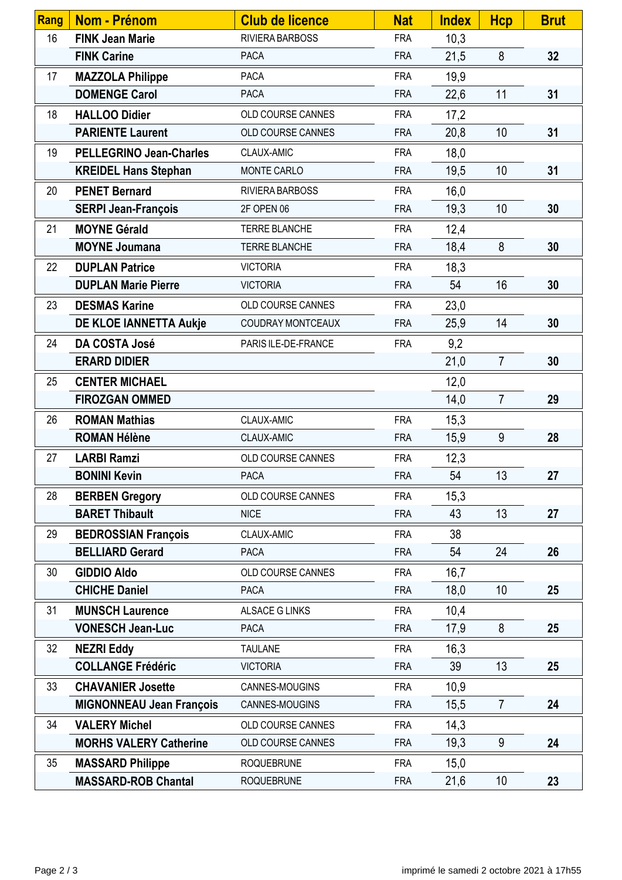| Rang | <b>Nom - Prénom</b>             | <b>Club de licence</b> | <b>Nat</b> | <b>Index</b> | <b>Hcp</b>      | <b>Brut</b> |
|------|---------------------------------|------------------------|------------|--------------|-----------------|-------------|
| 16   | <b>FINK Jean Marie</b>          | RIVIERA BARBOSS        | <b>FRA</b> | 10,3         |                 |             |
|      | <b>FINK Carine</b>              | <b>PACA</b>            | <b>FRA</b> | 21,5         | 8               | 32          |
| 17   | <b>MAZZOLA Philippe</b>         | <b>PACA</b>            | <b>FRA</b> | 19,9         |                 |             |
|      | <b>DOMENGE Carol</b>            | <b>PACA</b>            | <b>FRA</b> | 22,6         | 11              | 31          |
| 18   | <b>HALLOO Didier</b>            | OLD COURSE CANNES      | <b>FRA</b> | 17,2         |                 |             |
|      | <b>PARIENTE Laurent</b>         | OLD COURSE CANNES      | <b>FRA</b> | 20,8         | 10              | 31          |
| 19   | <b>PELLEGRINO Jean-Charles</b>  | CLAUX-AMIC             | <b>FRA</b> | 18,0         |                 |             |
|      | <b>KREIDEL Hans Stephan</b>     | MONTE CARLO            | <b>FRA</b> | 19,5         | 10              | 31          |
| 20   | <b>PENET Bernard</b>            | RIVIERA BARBOSS        | <b>FRA</b> | 16,0         |                 |             |
|      | <b>SERPI Jean-François</b>      | 2F OPEN 06             | <b>FRA</b> | 19,3         | 10              | 30          |
| 21   | <b>MOYNE Gérald</b>             | <b>TERRE BLANCHE</b>   | <b>FRA</b> | 12,4         |                 |             |
|      | <b>MOYNE Joumana</b>            | TERRE BLANCHE          | <b>FRA</b> | 18,4         | 8               | 30          |
| 22   | <b>DUPLAN Patrice</b>           | <b>VICTORIA</b>        | <b>FRA</b> | 18,3         |                 |             |
|      | <b>DUPLAN Marie Pierre</b>      | <b>VICTORIA</b>        | <b>FRA</b> | 54           | 16              | 30          |
| 23   | <b>DESMAS Karine</b>            | OLD COURSE CANNES      | <b>FRA</b> | 23,0         |                 |             |
|      | DE KLOE IANNETTA Aukje          | COUDRAY MONTCEAUX      | <b>FRA</b> | 25,9         | 14              | 30          |
| 24   | DA COSTA José                   | PARIS ILE-DE-FRANCE    | <b>FRA</b> | 9,2          |                 |             |
|      | <b>ERARD DIDIER</b>             |                        |            | 21,0         | $\overline{7}$  | 30          |
| 25   | <b>CENTER MICHAEL</b>           |                        |            | 12,0         |                 |             |
|      | <b>FIROZGAN OMMED</b>           |                        |            | 14,0         | $\overline{7}$  | 29          |
| 26   | <b>ROMAN Mathias</b>            | CLAUX-AMIC             | <b>FRA</b> | 15,3         |                 |             |
|      | <b>ROMAN Hélène</b>             | CLAUX-AMIC             | <b>FRA</b> | 15,9         | 9               | 28          |
| 27   | <b>LARBI Ramzi</b>              | OLD COURSE CANNES      | <b>FRA</b> | 12,3         |                 |             |
|      | <b>BONINI Kevin</b>             | <b>PACA</b>            | <b>FRA</b> | 54           | 13              | 27          |
| 28   | <b>BERBEN Gregory</b>           | OLD COURSE CANNES      | <b>FRA</b> | 15,3         |                 |             |
|      | <b>BARET Thibault</b>           | <b>NICE</b>            | <b>FRA</b> | 43           | 13              | 27          |
| 29   | <b>BEDROSSIAN François</b>      | CLAUX-AMIC             | <b>FRA</b> | 38           |                 |             |
|      | <b>BELLIARD Gerard</b>          | <b>PACA</b>            | <b>FRA</b> | 54           | 24              | 26          |
| 30   | <b>GIDDIO Aldo</b>              | OLD COURSE CANNES      | <b>FRA</b> | 16,7         |                 |             |
|      | <b>CHICHE Daniel</b>            | <b>PACA</b>            | <b>FRA</b> | 18,0         | 10              | 25          |
| 31   | <b>MUNSCH Laurence</b>          | <b>ALSACE G LINKS</b>  | <b>FRA</b> | 10,4         |                 |             |
|      | <b>VONESCH Jean-Luc</b>         | PACA                   | <b>FRA</b> | 17,9         | 8               | 25          |
| 32   | <b>NEZRI Eddy</b>               | <b>TAULANE</b>         | <b>FRA</b> | 16,3         |                 |             |
|      | <b>COLLANGE Frédéric</b>        | <b>VICTORIA</b>        | <b>FRA</b> | 39           | 13              | 25          |
| 33   | <b>CHAVANIER Josette</b>        | CANNES-MOUGINS         | <b>FRA</b> | 10,9         |                 |             |
|      | <b>MIGNONNEAU Jean François</b> | CANNES-MOUGINS         | <b>FRA</b> | 15,5         | $\overline{7}$  | 24          |
| 34   | <b>VALERY Michel</b>            | OLD COURSE CANNES      | <b>FRA</b> | 14,3         |                 |             |
|      | <b>MORHS VALERY Catherine</b>   | OLD COURSE CANNES      | <b>FRA</b> | 19,3         | 9               | 24          |
| 35   | <b>MASSARD Philippe</b>         | <b>ROQUEBRUNE</b>      | <b>FRA</b> | 15,0         |                 |             |
|      | <b>MASSARD-ROB Chantal</b>      | <b>ROQUEBRUNE</b>      | <b>FRA</b> | 21,6         | 10 <sup>°</sup> | 23          |